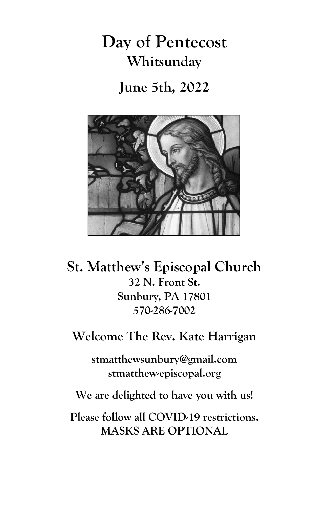# **Day of Pentecost Whitsunday**

**June 5th, 2022**



**St. Matthew's Episcopal Church 32 N. Front St. Sunbury, PA 17801 570-286-7002**

## **Welcome The Rev. Kate Harrigan**

**stmatthewsunbury@gmail.com stmatthew-episcopal.org**

**We are delighted to have you with us!**

**Please follow all COVID-19 restrictions. MASKS ARE OPTIONAL**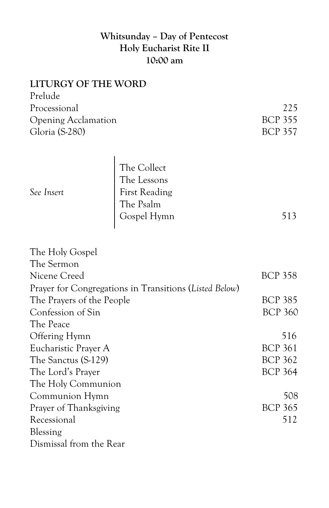## **Whitsunday – Day of Pentecost Holy Eucharist Rite II 10:00 am**

| LITURGY OF THE WORD<br>Prelude<br>Processional<br><b>Opening Acclamation</b><br>Gloria (S-280) |                                                                                | 225<br><b>BCP 355</b><br><b>BCP 357</b> |
|------------------------------------------------------------------------------------------------|--------------------------------------------------------------------------------|-----------------------------------------|
| See Insert                                                                                     | The Collect<br>The Lessons<br><b>First Reading</b><br>The Psalm<br>Gospel Hymn | 513                                     |
| The Holy Gospel                                                                                |                                                                                |                                         |
| The Sermon                                                                                     |                                                                                |                                         |
| Nicene Creed                                                                                   |                                                                                | <b>BCP 358</b>                          |
|                                                                                                | Prayer for Congregations in Transitions (Listed Below)                         |                                         |
| The Prayers of the People                                                                      |                                                                                | <b>BCP 385</b>                          |
| Confession of Sin                                                                              |                                                                                | <b>BCP 360</b>                          |
| The Peace                                                                                      |                                                                                |                                         |
| Offering Hymn                                                                                  |                                                                                | 516                                     |
| Eucharistic Prayer A                                                                           |                                                                                | <b>BCP 361</b>                          |
| The Sanctus (S-129)                                                                            |                                                                                | <b>BCP 362</b>                          |
| The Lord's Prayer                                                                              |                                                                                | <b>BCP 364</b>                          |
| The Holy Communion                                                                             |                                                                                |                                         |
| Communion Hymn                                                                                 |                                                                                | 508                                     |
| Prayer of Thanksgiving<br>Recessional                                                          |                                                                                | <b>BCP 365</b>                          |
|                                                                                                |                                                                                | 512                                     |
| Blessing<br>Dismissal from the Rear                                                            |                                                                                |                                         |
|                                                                                                |                                                                                |                                         |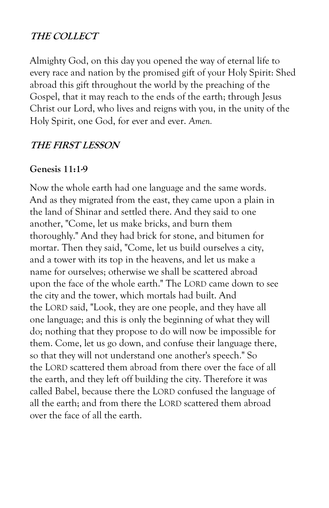#### **THE COLLECT**

Almighty God, on this day you opened the way of eternal life to every race and nation by the promised gift of your Holy Spirit: Shed abroad this gift throughout the world by the preaching of the Gospel, that it may reach to the ends of the earth; through Jesus Christ our Lord, who lives and reigns with you, in the unity of the Holy Spirit, one God, for ever and ever. *Amen.*

#### **THE FIRST LESSON**

#### **Genesis 11:1-9**

Now the whole earth had one language and the same words. And as they migrated from the east, they came upon a plain in the land of Shinar and settled there. And they said to one another, "Come, let us make bricks, and burn them thoroughly." And they had brick for stone, and bitumen for mortar. Then they said, "Come, let us build ourselves a city, and a tower with its top in the heavens, and let us make a name for ourselves; otherwise we shall be scattered abroad upon the face of the whole earth." The LORD came down to see the city and the tower, which mortals had built. And the LORD said, "Look, they are one people, and they have all one language; and this is only the beginning of what they will do; nothing that they propose to do will now be impossible for them. Come, let us go down, and confuse their language there, so that they will not understand one another's speech." So the LORD scattered them abroad from there over the face of all the earth, and they left off building the city. Therefore it was called Babel, because there the LORD confused the language of all the earth; and from there the LORD scattered them abroad over the face of all the earth.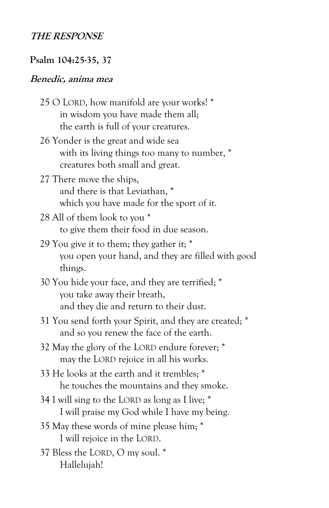#### **THE RESPONSE**

#### **Psalm 104:25-35, 37**

#### **Benedic, anima mea**

- 25 O LORD, how manifold are your works! \* in wisdom you have made them all; the earth is full of your creatures.
- 26 Yonder is the great and wide sea with its living things too many to number,  $*$ creatures both small and great.
- 27 There move the ships, and there is that Leviathan, \* which you have made for the sport of it.
- 28 All of them look to you \* to give them their food in due season.
- 29 You give it to them; they gather it; \* you open your hand, and they are filled with good things.
- 30 You hide your face, and they are terrified; \* you take away their breath, and they die and return to their dust.
- 31 You send forth your Spirit, and they are created; \* and so you renew the face of the earth.
- 32 May the glory of the LORD endure forever; \* may the LORD rejoice in all his works.
- 33 He looks at the earth and it trembles; \* he touches the mountains and they smoke.
- 34 I will sing to the LORD as long as I live; \* I will praise my God while I have my being.
- 35 May these words of mine please him; \* I will rejoice in the LORD.
- 37 Bless the LORD, O my soul. \* Hallelujah!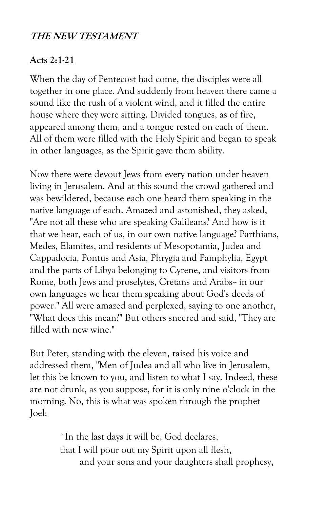#### **THE NEW TESTAMENT**

#### **Acts 2:1-21**

When the day of Pentecost had come, the disciples were all together in one place. And suddenly from heaven there came a sound like the rush of a violent wind, and it filled the entire house where they were sitting. Divided tongues, as of fire, appeared among them, and a tongue rested on each of them. All of them were filled with the Holy Spirit and began to speak in other languages, as the Spirit gave them ability.

Now there were devout Jews from every nation under heaven living in Jerusalem. And at this sound the crowd gathered and was bewildered, because each one heard them speaking in the native language of each. Amazed and astonished, they asked, "Are not all these who are speaking Galileans? And how is it that we hear, each of us, in our own native language? Parthians, Medes, Elamites, and residents of Mesopotamia, Judea and Cappadocia, Pontus and Asia, Phrygia and Pamphylia, Egypt and the parts of Libya belonging to Cyrene, and visitors from Rome, both Jews and proselytes, Cretans and Arabs-- in our own languages we hear them speaking about God's deeds of power." All were amazed and perplexed, saying to one another, "What does this mean?" But others sneered and said, "They are filled with new wine."

But Peter, standing with the eleven, raised his voice and addressed them, "Men of Judea and all who live in Jerusalem, let this be known to you, and listen to what I say. Indeed, these are not drunk, as you suppose, for it is only nine o'clock in the morning. No, this is what was spoken through the prophet Joel:

> `In the last days it will be, God declares, that I will pour out my Spirit upon all flesh, and your sons and your daughters shall prophesy,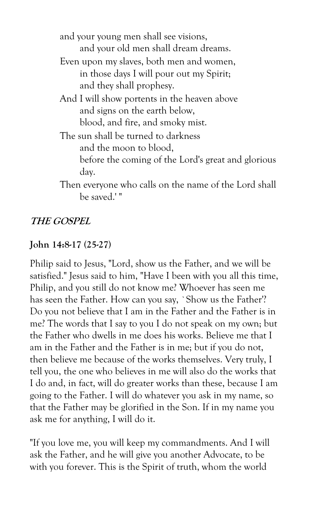and your young men shall see visions, and your old men shall dream dreams.

- Even upon my slaves, both men and women, in those days I will pour out my Spirit; and they shall prophesy.
- And I will show portents in the heaven above and signs on the earth below, blood, and fire, and smoky mist.
- The sun shall be turned to darkness and the moon to blood, before the coming of the Lord's great and glorious
	- day.
- Then everyone who calls on the name of the Lord shall be saved.' "

## **THE GOSPEL**

## **John 14:8-17 (25-27)**

Philip said to Jesus, "Lord, show us the Father, and we will be satisfied." Jesus said to him, "Have I been with you all this time, Philip, and you still do not know me? Whoever has seen me has seen the Father. How can you say, `Show us the Father'? Do you not believe that I am in the Father and the Father is in me? The words that I say to you I do not speak on my own; but the Father who dwells in me does his works. Believe me that I am in the Father and the Father is in me; but if you do not, then believe me because of the works themselves. Very truly, I tell you, the one who believes in me will also do the works that I do and, in fact, will do greater works than these, because I am going to the Father. I will do whatever you ask in my name, so that the Father may be glorified in the Son. If in my name you ask me for anything, I will do it.

"If you love me, you will keep my commandments. And I will ask the Father, and he will give you another Advocate, to be with you forever. This is the Spirit of truth, whom the world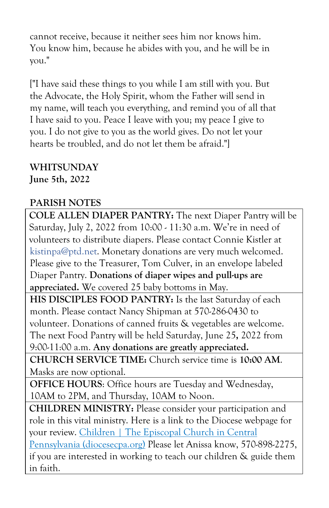cannot receive, because it neither sees him nor knows him. You know him, because he abides with you, and he will be in you."

["I have said these things to you while I am still with you. But the Advocate, the Holy Spirit, whom the Father will send in my name, will teach you everything, and remind you of all that I have said to you. Peace I leave with you; my peace I give to you. I do not give to you as the world gives. Do not let your hearts be troubled, and do not let them be afraid."]

## **WHITSUNDAY**

**June 5th, 2022**

#### **PARISH NOTES**

**COLE ALLEN DIAPER PANTRY:** The next Diaper Pantry will be Saturday, July 2, 2022 from 10:00 - 11:30 a.m. We're in need of volunteers to distribute diapers. Please contact Connie Kistler at kistinpa@ptd.net. Monetary donations are very much welcomed. Please give to the Treasurer, Tom Culver, in an envelope labeled Diaper Pantry. **Donations of diaper wipes and pull-ups are appreciated.** We covered 25 baby bottoms in May.

**HIS DISCIPLES FOOD PANTRY:** Is the last Saturday of each month. Please contact Nancy Shipman at 570-286-0430 to volunteer. Donations of canned fruits & vegetables are welcome. The next Food Pantry will be held Saturday, June 25**,** 2022 from 9:00-11:00 a.m. **Any donations are greatly appreciated.**

**CHURCH SERVICE TIME:** Church service time is **10:00 AM**. Masks are now optional.

**OFFICE HOURS**: Office hours are Tuesday and Wednesday, 10AM to 2PM, and Thursday, 10AM to Noon.

**CHILDREN MINISTRY:** Please consider your participation and role in this vital ministry. Here is a link to the Diocese webpage for your review. [Children | The Episcopal](https://diocesecpa.org/children/) Church in Central

[Pennsylvania \(diocesecpa.org\)](https://diocesecpa.org/children/) Please let Anissa know, 570-898-2275, if you are interested in working to teach our children & guide them in faith.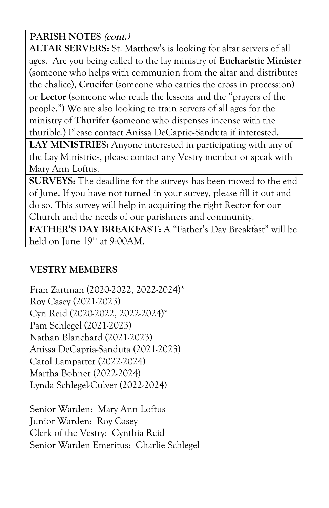## **PARISH NOTES (cont.)**

**ALTAR SERVERS:** St. Matthew's is looking for altar servers of all ages. Are you being called to the lay ministry of **Eucharistic Minister** (someone who helps with communion from the altar and distributes the chalice), **Crucifer** (someone who carries the cross in procession) or **Lector** (someone who reads the lessons and the "prayers of the people.") We are also looking to train servers of all ages for the ministry of **Thurifer** (someone who dispenses incense with the thurible.) Please contact Anissa DeCaprio-Sanduta if interested.

**LAY MINISTRIES:** Anyone interested in participating with any of the Lay Ministries, please contact any Vestry member or speak with Mary Ann Loftus.

**SURVEYS:** The deadline for the surveys has been moved to the end of June. If you have not turned in your survey, please fill it out and do so. This survey will help in acquiring the right Rector for our Church and the needs of our parishners and community.

**FATHER'S DAY BREAKFAST:** A "Father's Day Breakfast" will be held on June 19<sup>th</sup> at 9:00AM.

## **VESTRY MEMBERS**

Fran Zartman (2020-2022, 2022-2024)\* Roy Casey (2021-2023) Cyn Reid (2020-2022, 2022-2024)\* Pam Schlegel (2021-2023) Nathan Blanchard (2021-2023) Anissa DeCapria-Sanduta (2021-2023) Carol Lamparter (2022-2024) Martha Bohner (2022-2024) Lynda Schlegel-Culver (2022-2024)

Senior Warden: Mary Ann Loftus Junior Warden: Roy Casey Clerk of the Vestry: Cynthia Reid Senior Warden Emeritus: Charlie Schlegel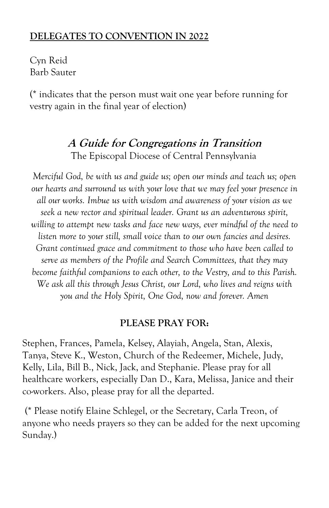#### **DELEGATES TO CONVENTION IN 2022**

Cyn Reid Barb Sauter

(\* indicates that the person must wait one year before running for vestry again in the final year of election)

## **A Guide for Congregations in Transition** The Episcopal Diocese of Central Pennsylvania

*Merciful God, be with us and guide us; open our minds and teach us; open our hearts and surround us with your love that we may feel your presence in all our works. Imbue us with wisdom and awareness of your vision as we seek a new rector and spiritual leader. Grant us an adventurous spirit, willing to attempt new tasks and face new ways, ever mindful of the need to listen more to your still, small voice than to our own fancies and desires. Grant continued grace and commitment to those who have been called to serve as members of the Profile and Search Committees, that they may become faithful companions to each other, to the Vestry, and to this Parish. We ask all this through Jesus Christ, our Lord, who lives and reigns with you and the Holy Spirit, One God, now and forever. Amen*

#### **PLEASE PRAY FOR:**

Stephen, Frances, Pamela, Kelsey, Alayiah, Angela, Stan, Alexis, Tanya, Steve K., Weston, Church of the Redeemer, Michele, Judy, Kelly, Lila, Bill B., Nick, Jack, and Stephanie. Please pray for all healthcare workers, especially Dan D., Kara, Melissa, Janice and their co-workers. Also, please pray for all the departed.

(\* Please notify Elaine Schlegel, or the Secretary, Carla Treon, of anyone who needs prayers so they can be added for the next upcoming Sunday.)